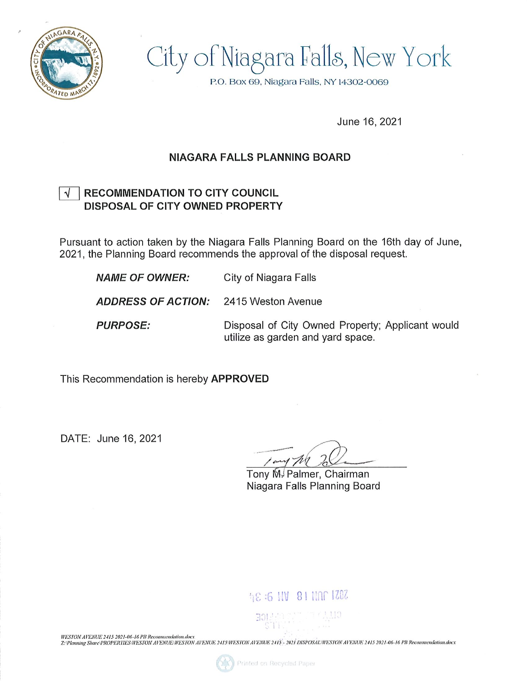

City of Niagara Falls, New York

P.O. Box 69, Niagara Falls, NY 14302-0069

June 16, 2021

## NIAGARA FALLS PLANNING BOARD

## $\sqrt{ }$  | RECOMMENDATION TO CITY COUNCIL DISPOSAL OF CITY OWNED PROPERTY

Pursuant to action taken by the Niagara Falls Planning Board on the 16th day of June, 2021, the Planning Board recommends the approval of the disposal request.

**NAME OF OWNER:** City of Niagara Falls ADDRESS OF ACTION: 2415 Weston Avenue **PURPOSE:** Disposal of City Owned Property; Applicant would utilize as garden and yard space.

This Recommendation is hereby APPROVED

DATE; June 16, 2021

/ and  $\mathcal{W}$  to

Tony M. Palmer, Chairman Niagara Falls Planning Board

## 48:6 HV 81 NOC 1202

WESTON AVENUE 2415 2021-06-16 PB Recommendation.docx

HASY OW AT ENCOLENT VERTIES WESTON AVENUE/WESTON AVENUE 2415 WESTON AVENUE 2415 - 2021 DISPOSAL/WESTON AVENUE 2415 2021-06-16 PB Recommendation.docx